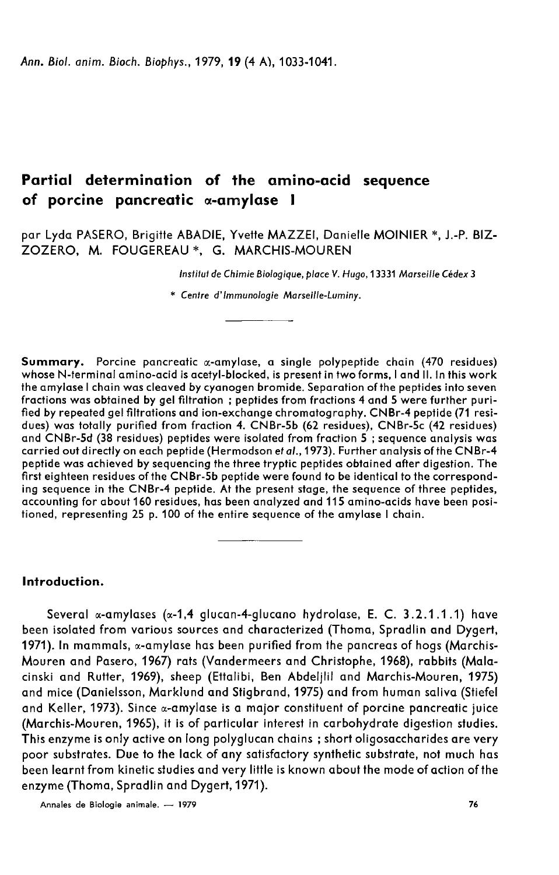Ann. Biol. anim. Bioch. Biophys., 1979, 19 (4 A), 1033-1041.

# Partial determination of the amino-acid sequence of porcine pancreatic α-amylase I

par Lyda PASERO, Brigitte ABADIE, Yvette MAZZEI, Danielle MOINIER \*, J.-P. BIZ-ZOZERO, M. FOUGEREAU \*, G. MARCHIS-MOUREN

Institut de Chimie Biologique, place V. Hugo, 13331 Marseille Cédex 3

\* Centre d'immunologie Marseille-Luminy.

**Summary.** Porcine pancreatic  $\alpha$ -amylase, a single polypeptide chain (470 residues) whose N-terminal amino-acid is acetyl-blocked, is present in two forms, I and II. In this work the amylase I chain was cleaved by cyanogen bromide. Separation of the peptides into seven fractions was obtained by gel filtration ; peptides from fractions 4 and 5 were further purified by repeated gel filtrations and ion-exchange chromatography. CNBr-4 peptide (71 residues) was totally purified from fraction 4. CNBr-5b (62 residues), CNBr-5c (42 residues) and CNBr-5d (38 residues) peptides were isolated from fraction 5 ; sequence analysis was carried out directly on each peptide (Hermodson et al., 1973). Further analysis of the CNBr-4 peptide was achieved by sequencing the three tryptic peptides obtained after digestion. The first eighteen residues of the CNBr-5b peptide were found to be identical to the corresponding sequence in the CNBr-4 peptide. At the present stage, the sequence of three peptides, accounting for about 160 residues, has been analyzed and 115 amino-acids have been positioned, representing 25 p. 100 of the entire sequence of the amylase I chain.

## Introduction.

Several  $\alpha$ -amylases ( $\alpha$ -1,4 glucan-4-glucano hydrolase, E. C. 3.2.1.1.1) have been isolated from various sources and characterized (Thoma, Spradlin and Dygert, 1971). In mammals, «-amylase has been purified from the pancreas of hogs (Marchis-Mouren and Pasero, 1967) rats (Vandermeers and Christophe, 1968), rabbits (Malacinski and Rutter, 1969), sheep (Ettalibi, Ben Abdeljlil and Marchis-Mouren, 1975) and mice (Danielsson, Marklund and Stigbrand, 1975) and from human saliva (Stiefel and Keller, 1973). Since *«*-amylase is a major constituent of porcine pancreatic juice (Marchis-Mouren, 1965), it is of particular interest in carbohydrate digestion studies. This enzyme is only active on long polyglucan chains ; short oligosaccharides are very poor substrates. Due to the lack of any satisfactory synthetic substrate, not much has been learnt from kinetic studies and very little is known about the mode of action of the enzyme (Thoma, Spradlin and Dygert, 1971).<br>Annales de Biologie animale. -- 1979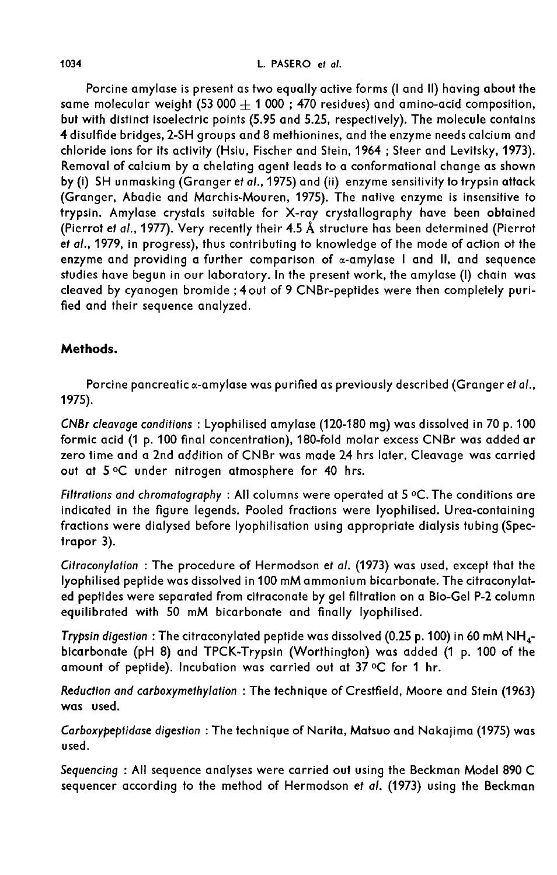Porcine amylase is present as two equally active forms (I and II) having about the same molecular weight  $(53\,000 + 1\,000)$ ; 470 residues) and amino-acid composition, but with distinct isoelectric points (5.95 and 5.25, respectively). The molecule contains 4 disulfide bridges, 2-SH groups and 8 methionines, and the enzyme needs calcium and chloride ions for its activity (Hsiu, Fischer and Stein, 1964 ; Steer and Levitsky, 1973). Removal of calcium by a chelating agent leads to a conformational change as shown by (i) SH unmasking (Granger et al., 1975) and (ii) enzyme sensitivity to trypsin attack (Granger, Abadie and Marchis-Mouren, 1975). The native enzyme is insensitive to trypsin. Amylase crystals suitable for X-ray crystallography have been obtained (Pierrot et at., 1977). Very recently their 4.5 A structure has been determined (Pierrot et al., 1979, in progress), thus contributing to knowledge of the mode of action ot the enzyme and providing a further comparison of  $\alpha$ -amylase I and II, and sequence studies have begun in our laboratory. In the present work, the amylase (I) chain was cleaved by cyanogen bromide ; 4 out of 9 CNBr-peptides were then completely purified and their sequence analyzed.

# Methods.

Porcine pancreatic  $\alpha$ -amylase was purified as previously described (Granger et al., 1975).

CNBr cleavage conditions : Lyophilised amylase (120-180 mg) was dissolved in 70 p. 100 formic acid (1 p. 100 final concentration), 180-fold molar excess CNBr was added ar zero time and a 2nd addition of CNBr was made 24 hrs later. Cleavage was carried<br>out at 5 °C under nitrogen atmosphere for 40 hrs.<br>Filtrations and chromatography : All columns were operated at 5 °C. The conditions are<br>indi out at 5 °C under nitrogen atmosphere for 40 hrs.

indicated in the figure legends. Pooled fractions were lyophilised. Urea-containing fractions were dialysed before lyophilisation using appropriate dialysis tubing (Spectrapor 3).

Citraconylation : The procedure of Hermodson et at. (1973) was used, except that the lyophilised peptide was dissolved in 100 mM ammonium bicarbonate. The citraconylated peptides were separated from citraconate by gel filtration on a Bio-Gel P-2 column equilibrated with 50 mM bicarbonate and finally lyophilised.

equilibrated with 50 mM bicarbonate and finally lyophilised.<br>Tryps*in digestion* : The citraconylated peptide was dissolved (0.25 p. 100) in 60 mM NH<sub>4</sub>-<br>bicarbonate (pH 8) and TPCK-Trypsin (Worthington) was added (1 p. 10 amount of peptide). Incubation was carried out at  $37^{\circ}$ C for 1 hr.

Reduction and carboxymethylation : The technique of Crestfield, Moore and Stein (1963) was used.

Carboxypeptidase digestion : The technique of Narita, Matsuo and Nakajima (1975) was used.

Sequencing : All sequence analyses were carried out using the Beckman Model 890 C sequencer according to the method of Hermodson et al. (1973) using the Beckman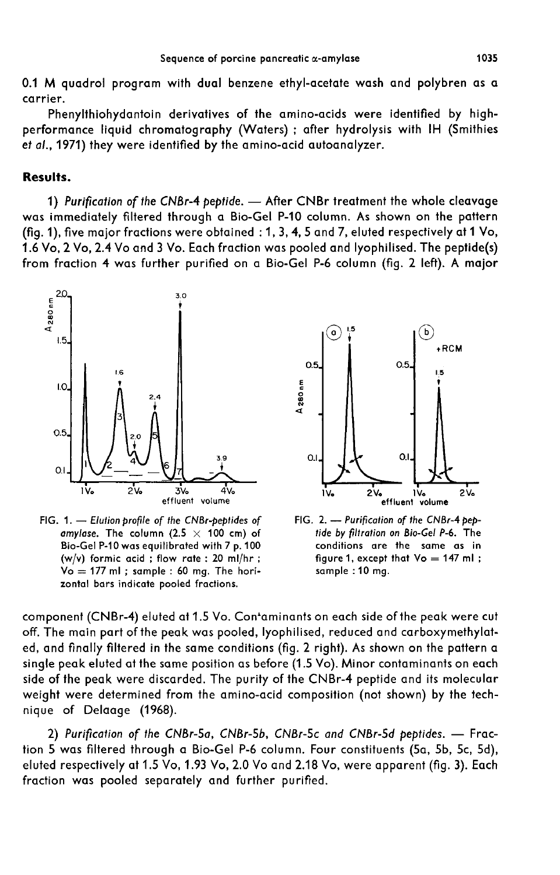0.1 M quadrol program with dual benzene ethyl-acetate wash and polybren as a carrier.

Phenylthiohydantoin derivatives of the amino-acids were identified by highperformance liquid chromatography (Waters) ; after hydrolysis with IH (Smithies et al., 1971) they were identified by the amino-acid autoanalyzer.

# Results.

1) Purification of the CNBr-4 peptide. - After CNBr treatment the whole cleavage was immediately filtered through a Bio-Gel P-10 column. As shown on the pattern (fig. 1), five major fractions were obtained : 1, 3, 4, 5 and 7, eluted respectively at 1 Vo, 1.6 Vo, 2 Vo, 2.4 Vo and 3 Vo. Each fraction was pooled and lyophilised. The peptide(s) from fraction 4 was further purified on a Bio-Gel P-6 column (fig. 2 left). A major



FIG. 1. - Elution profile of the CNBr-peptides of amylase. The column (2.5  $\times$  100 cm) of Bio-Gel P-10 was equilibrated with 7 p. 100 (w/v) formic acid; flow rate: 20 ml/hr;  $Vo = 177$  ml; sample : 60 mg. The horizontal bars indicate pooled fractions.



FIG. 2. - Purification of the CNBr-4 peptide by filtration on Bio-Gel P-6. The conditions are the same as in figure 1, except that Vo = 147 ml; sample: 10 mg.

component (CNBr-4) eluted at 1.5 Vo. Con'aminants on each side of the peak were cut off. The main part of the peak was pooled, lyophilised, reduced and carboxymethylated, and finally filtered in the same conditions (fig. 2 right). As shown on the pattern a single peak eluted at the same position as before (1.5 Vo). Minor contaminants on each side of the peak were discarded. The purity of the CNBr-4 peptide and its molecular weight were determined from the amino-acid composition (not shown) by the technique of Delaage (1968).

2) Purification of the CNBr-5a, CNBr-5b, CNBr-5c and CNBr-5d peptides. - Fraction 5 was filtered through a Bio-Gel P-6 column. Four constituents (5a, 5b, 5c, 5d), eluted respectively at 1.5 Vo, 1.93 Vo, 2.0 Vo and 2.18 Vo, were apparent (fig. 3). Each fraction was pooled separately and further purified.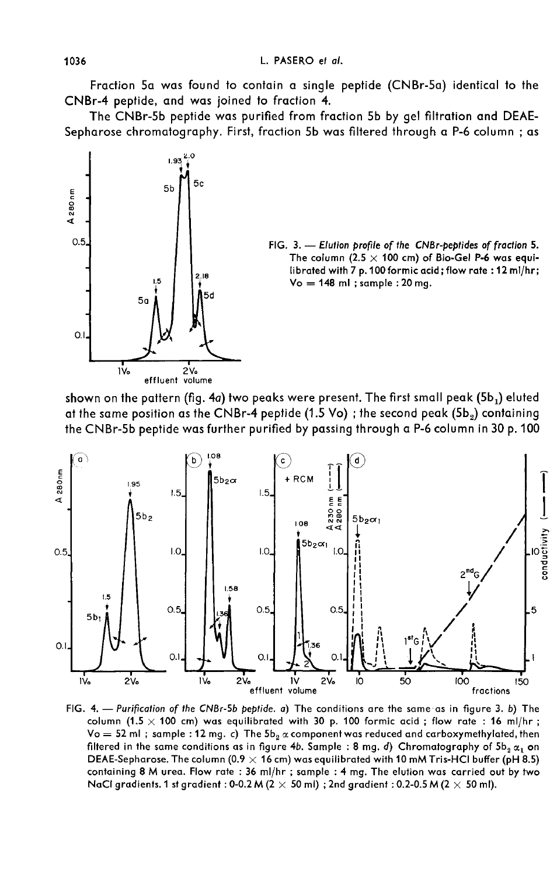Fraction 5a was found to contain a single peptide (CNBr-5a) identical to the CNBr-4 peptide, and was joined to fraction 4.

The CNBr-5b peptide was purified from fraction 5b by gel filtration and DEAE-Sepharose chromatography. First, fraction 5b was filtered through a P-6 column ; as



at the same position as the CNBr-4 peptide (1.5 Vo); the second peak (5b<sub>2</sub>) containing the CNBr-5b peptide was further purified by passing through a P-6 column in 30 p. 100



FIG. 4. — Purification of the CNBr-5b peptide. a) The conditions are the same as in figure 3. b) The column (1.5  $\times$  100 cm) was equilibrated with 30 p. 100 formic acid; flow rate: 16 ml/hr;  $\sqrt{6}$  = 52 ml; sample: 12 mg. c) The  $5b_2 \propto$  component was reduced and carboxymethylated, then filtered in the same conditions as in figure 4b. Sample : 8 mg. d) Chromatography of  $5b_2 \alpha_1$  on DEAE-Sepharose. The column (0.9  $\times$  16 cm) was equilibrated with 10 mM Tris-HCl buffer (pH 8.5) containing 8 M urea. Flow rate : 36 ml/hr ; sample : 4 mg. The elution was carried out by two NaCl gradients. 1 st gradient: 0-0.2 M ( $2 \times 50$  ml); 2nd gradient: 0.2-0.5 M ( $2 \times 50$  ml).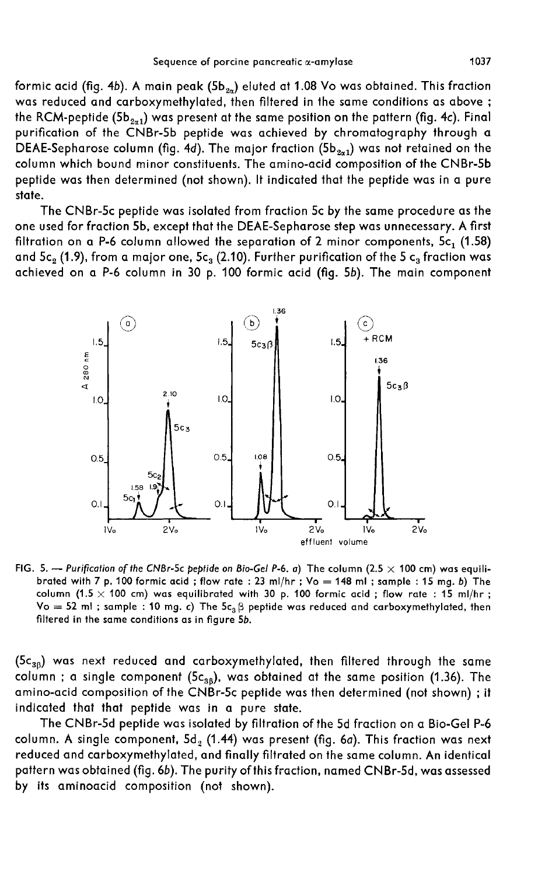Formic acid (fig. 4b). A main peak (5b  $_2$ a) eluted at 1.08 Vo was obtained. This fraction<br>was reduced and carboxymethylated, then filtered in the same conditions as above was reduced and carboxymethylated, then filtered in the same conditions as above ;<br>the RCM-peptide (5b<sub>2n1</sub>) was present at the same position on the pattern (fig. 4c). Final formic acid (fig. 4b). A main peak (5b $_{2a}$ ) eluted at 1.08 Vo was obtained. This fraction<br>was reduced and carboxymethylated, then filtered in the same conditions as above ;<br>the RCM-peptide (5b $_{2a1}$ ) was present at the purification of the CNBr-5b peptide was achieved by chromatography through a the RCM-peptide (5b<sub>2×1</sub>) was present at the same position on the pattern (fig. 4c). Final<br>purification of the CNBr-5b peptide was achieved by chromatography through a<br>DEAE-Sepharose column (fig. 4d). The major fraction (5 column which bound minor constituents. The amino-acid composition of the CNBr-5b peptide was then determined (not shown). It indicated that the peptide was in a pure state.

The CNBr-5c peptide was isolated from fraction 5c by the same procedure as the one used for fraction 5b, except that the DEAE-Sepharose step was unnecessary. A first filtration on a P-6 column allowed the separation of 2 minor components,  $5c_1$  (1.58) and  $5c_2$  (1.9), from a major one,  $5c_3$  (2.10). Further purification of the 5  $c_3$  fraction was achieved on a P-6 column in 30 p. 100 formic acid (fig. 5b). The main component



FIG. 5. -- Purification of the CNBr-5c peptide on Bio-Gel P-6. a) The column (2.5  $\times$  100 cm) was equilibrated with 7 p. 100 formic acid; flow rate: 23 ml/hr; Vo = 148 ml; sample: 15 mg. b) The column (1.5  $\times$  100 cm) was equilibrated with 30 p. 100 formic acid; flow rate: 15 ml/hr;  $Vo = 52$  ml; sample : 10 mg. c) The  $5c<sub>a</sub> \beta$  peptide was reduced and carboxymethylated, then filtered in the same conditions as in figure 5b.

 $(5c_{36})$  was next reduced and carboxymethylated, then filtered through the same column; a single component (5c<sub>3B</sub>), was obtained at the same position (1.36). The amino-acid composition of the CNBr-5c peptide was then determined (not shown) ; it indicated that that peptide was in a pure state.

The CNBr-5d peptide was isolated by filtration of the 5d fraction on a Bio-Gel P-6 column. A single component,  $5d_2$  (1.44) was present (fig. 6a). This fraction was next reduced and carboxymethylated, and finally filtrated on the same column. An identical pattern was obtained (fig. 6b). The purity of this fraction, named CNBr-5d, was assessed by its aminoacid composition (not shown).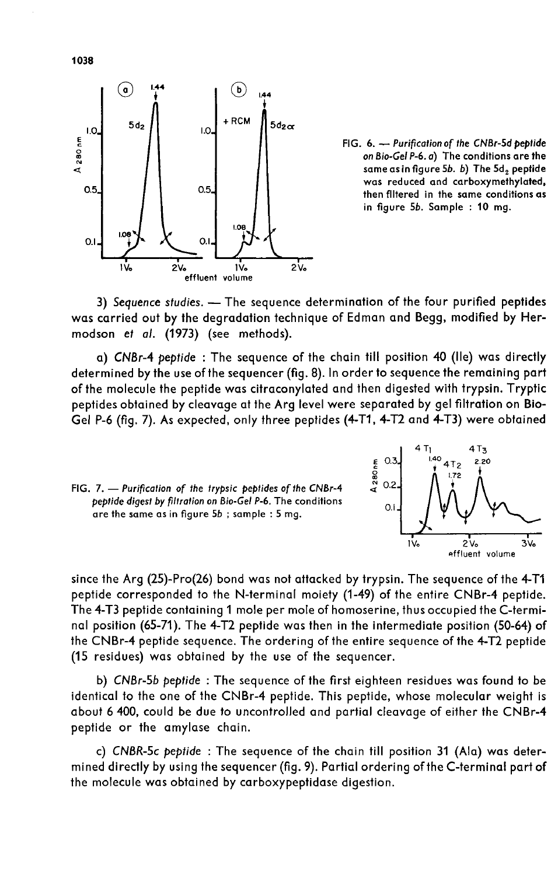

FIG. 6. - Purification of the CNBr-5d peptide on Bio-Gel P-6. a) The conditions are the same as in figure 5b. b) The 5d, peptide was reduced and carboxymethylated, then filtered in the same conditions as in figure 5b. Sample : 10 mg.

3) Sequence studies. - The sequence determination of the four purified peptides was carried out by the degradation technique of Edman and Begg, modified by Hermodson et a/. (1973) (see methods).

a) CNBr-4 peptide : The sequence of the chain till position 40 (Ile) was directly determined by the use of the sequencer (fig. 8). In order to sequence the remaining part of the molecule the peptide was citraconylated and then digested with trypsin. Tryptic peptides obtained by cleavage at the Arg level were separated by gel filtration on Bio-Gel P-6 (fig. 7). As expected, only three peptides (4-T1, 4-T2 and 4-T3) were obtained





since the Arg (25)-Pro(26) bond was not attacked by trypsin. The sequence of the 4-Tl peptide corresponded to the N-terminal moiety (1-49) of the entire CNBr-4 peptide. The 4-T3 peptide containing 1 mole per mole of homoserine, thus occupied the C-terminal position (65-71). The 4-T2 peptide was then in the intermediate position (50-64) of the CNBr-4 peptide sequence. The ordering of the entire sequence of the 4-T2 peptide (15 residues) was obtained by the use of the sequencer.

b) CNBr-5b peptide : The sequence of the first eighteen residues was found to be identical to the one of the CNBr-4 peptide. This peptide, whose molecular weight is about 6 400, could be due to uncontrolled and partial cleavage of either the CNBr-4 peptide or the amylase chain.

c) CNBR-5c peptide : The sequence of the chain till position 31 (Ala) was determined directly by using the sequencer (fig. 9). Partial ordering of the C-terminal part of the molecule was obtained by carboxypeptidase digestion.

1038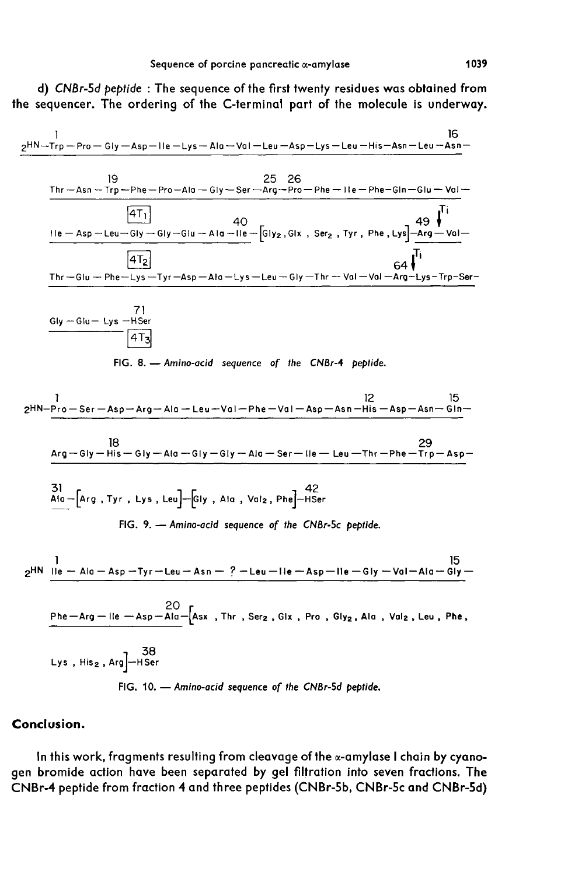d) CNBr-5d peptide : The sequence of the first twenty residues was obtained from the sequencer. The ordering of the C-terminal part of the molecule is underway.

$$
\frac{e^{H N-Trp - Pro - G(y - Asp - lle - Lys - Ala - Vol - Leu - Asp - Lys - Leu - His - Asn - Leu - Asn -
$$
\n
$$
\frac{19}{100}
$$
\n
$$
\frac{25}{100}
$$
\n
$$
\frac{19}{100}
$$
\n
$$
\frac{25}{100}
$$
\n
$$
\frac{26}{100}
$$
\n
$$
\frac{19}{100}
$$
\n
$$
\frac{25}{100}
$$
\n
$$
\frac{26}{100}
$$
\n
$$
\frac{25}{100}
$$
\n
$$
\frac{26}{100}
$$
\n
$$
\frac{49}{100}
$$
\n
$$
\frac{11}{100}
$$
\n
$$
\frac{11}{100}
$$
\n
$$
\frac{11}{100}
$$
\n
$$
\frac{11}{100}
$$
\n
$$
\frac{11}{100}
$$
\n
$$
\frac{11}{100}
$$
\n
$$
\frac{11}{100}
$$
\n
$$
\frac{11}{100}
$$
\n
$$
\frac{11}{100}
$$
\n
$$
\frac{11}{100}
$$
\n
$$
\frac{11}{100}
$$
\n
$$
\frac{11}{100}
$$
\n
$$
\frac{11}{100}
$$
\n
$$
\frac{11}{100}
$$
\n
$$
\frac{11}{100}
$$
\n
$$
\frac{11}{100}
$$
\n
$$
\frac{11}{100}
$$
\n
$$
\frac{11}{100}
$$
\n
$$
\frac{11}{100}
$$
\n
$$
\frac{11}{100}
$$
\n
$$
\frac{11}{100}
$$
\n
$$
\frac{11}{100}
$$
\n
$$
\frac{11}{100}
$$
\n
$$
\frac{11}{100}
$$
\n
$$
\frac{11}{100}
$$
\n
$$
\frac{11}{100}
$$
\n
$$
\frac{11}{100}
$$
\n
$$
\frac{11}{100}
$$
\n<math display="</math>

### Conclusion.

In this work, fragments resulting from cleavage of the  $\alpha$ -amylase I chain by cyanogen bromide action have been separated by gel filtration into seven fractions. The CNBr-4 peptide from fraction 4 and three peptides (CNBr-5b, CNBr-5c and CNBr-5d)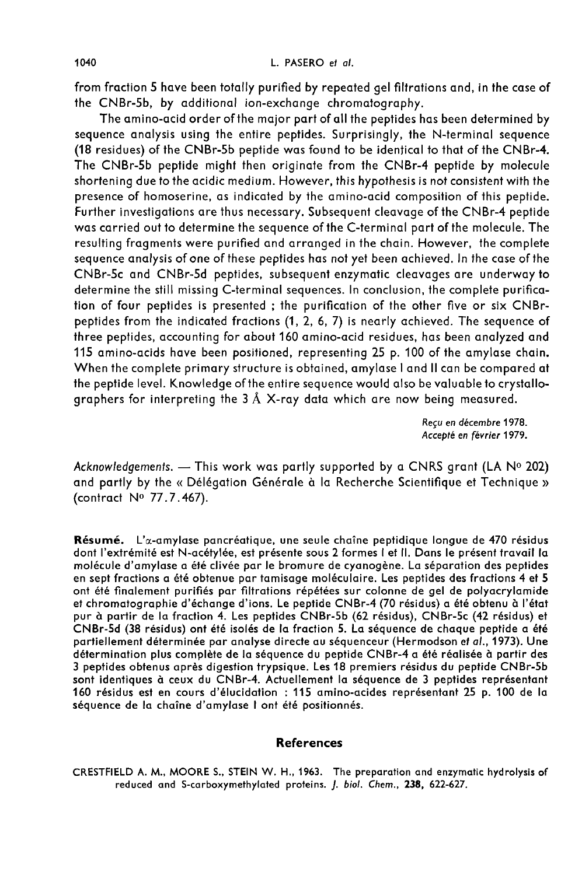from fraction 5 have been totally purified by repeated gel filtrations and, in the case of the CNBr-5b, by additional ion-exchange chromatography.

The amino-acid order of the major part of all the peptides has been determined by sequence analysis using the entire peptides. Surprisingly, the N-terminal sequence (18 residues) of the CNBr-5b peptide was found to be identical to that of the CNBr-4. The CNBr-5b peptide might then originate from the CNBr-4 peptide by molecule shortening due to the acidic medium. However, this hypothesis is not consistent with the presence of homoserine, as indicated by the amino-acid composition of this peptide. Further investigations are thus necessary. Subsequent cleavage of the CNBr-4 peptide was carried out to determine the sequence of the C-terminal part of the molecule. The resulting fragments were purified and arranged in the chain. However, the complete sequence analysis of one of these peptides has not yet been achieved. In the case of the CNBr-5c and CNBr-5d peptides, subsequent enzymatic cleavages are underway to determine the still missing C-terminal sequences. In conclusion, the complete purification of four peptides is presented ; the purification of the other five or six CNBrpeptides from the indicated fractions (1, 2, 6, 7) is nearly achieved. The sequence of three peptides, accounting for about 160 amino-acid residues, has been analyzed and 115 amino-acids have been positioned, representing 25 p. 100 of the amylase chain. When the complete primary structure is obtained, amylase I and II can be compared at the peptide level. Knowledge of the entire sequence would also be valuable to crystallographers for interpreting the  $3 \text{ Å}$  X-ray data which are now being measured.

> Reçu en décembre 1978. Accepté en février 1979.

Acknowledgements. - This work was partly supported by a CNRS grant (LA  $N^o$  202) and partly by the « Délégation Générale à la Recherche Scientifique et Technique » (contract No 77.7.467).

Résumé. L'a-amylase pancréatique, une seule chaîne peptidique longue de 470 résidus dont l'extrémité est N-acétylée, est présente sous 2 formes 1 et il. Dans le présent travail la molécule d'amylase a été clivée par le bromure de cyanogène. La séparation des peptides en sept fractions a été obtenue par tamisage moléculaire. Les peptides des fractions 4 et 5<br>ont été finalement purifiés par filtrations répétées sur colonne de gel de polyacrylamide et chromatographie d'échange d'ions. Le peptide CNBr-4 (70 résidus) a été obtenu à l'état pur à partir de la fraction 4. Les peptides CNBr-5b (62 résidus), CNBr-5c (42 résidus) et CNBr-5d (38 résidus) ont été isolés de la fraction 5. La séquence de chaque peptide a été partiellement déterminée par analyse directe au séquenceur (Hermodson et al., 1973). Une détermination plus complète de la séquence du peptide CNBr-4 a été réalisée à partir des 3 peptides obtenus après digestion trypsique. Les 18 premiers résidus du peptide CNBr-5b sont identiques à ceux du CNBr-4. Actuellement la séquence de 3 peptides représentant 160 résidus est en cours d'élucidation : 115 amino-acides représentant 25 p. 100 de la séquence de la chaîne d'amylase 1 ont été positionnés.

### **References**

CRESTFIELD A. M., MOORE S., STEIN W. H., 1963. The preparation and enzymatic hydrolysis of reduced and S-carboxymethylated proteins. J. biol. Chem., 238, 622-627.